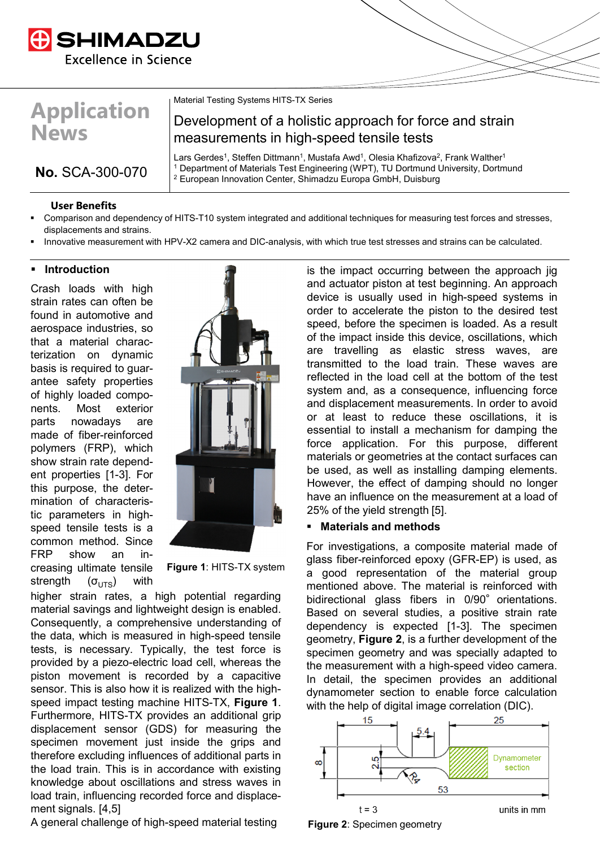

# **Application News**

**No.** SCA-300-070

Material Testing Systems HITS-TX Series

# Development of a holistic approach for force and strain measurements in high-speed tensile tests

Lars Gerdes<sup>1</sup>, Steffen Dittmann<sup>1</sup>, Mustafa Awd<sup>1</sup>, Olesia Khafizova<sup>2</sup>, Frank Walther<sup>1</sup> <sup>1</sup> Department of Materials Test Engineering (WPT), TU Dortmund University, Dortmund <sup>2</sup> European Innovation Center, Shimadzu Europa GmbH, Duisburg

#### **User Benefits**

- Comparison and dependency of HITS-T10 system integrated and additional techniques for measuring test forces and stresses, displacements and strains.
- Innovative measurement with HPV-X2 camera and DIC-analysis, with which true test stresses and strains can be calculated.

#### **Introduction**

Crash loads with high strain rates can often be found in automotive and aerospace industries, so that a material characterization on dynamic basis is required to guarantee safety properties of highly loaded components. Most exterior parts nowadays are made of fiber-reinforced polymers (FRP), which show strain rate dependent properties [1-3]. For this purpose, the determination of characteristic parameters in highspeed tensile tests is a common method. Since FRP show an increasing ultimate tensile strength  $(\sigma_{\text{UTS}})$  with



**Figure 1**: HITS-TX system

higher strain rates, a high potential regarding material savings and lightweight design is enabled. Consequently, a comprehensive understanding of the data, which is measured in high-speed tensile tests, is necessary. Typically, the test force is provided by a piezo-electric load cell, whereas the piston movement is recorded by a capacitive sensor. This is also how it is realized with the highspeed impact testing machine HITS-TX, **Figure 1**. Furthermore, HITS-TX provides an additional grip displacement sensor (GDS) for measuring the specimen movement just inside the grips and therefore excluding influences of additional parts in the load train. This is in accordance with existing knowledge about oscillations and stress waves in load train, influencing recorded force and displacement signals. [4,5]

A general challenge of high-speed material testing

. speed, before the specimen is loaded. As a result is the impact occurring between the approach jig and actuator piston at test beginning. An approach device is usually used in high-speed systems in order to accelerate the piston to the desired test of the impact inside this device, oscillations, which are travelling as elastic stress waves, are transmitted to the load train. These waves are reflected in the load cell at the bottom of the test system and, as a consequence, influencing force and displacement measurements. In order to avoid or at least to reduce these oscillations, it is essential to install a mechanism for damping the force application. For this purpose, different materials or geometries at the contact surfaces can be used, as well as installing damping elements. However, the effect of damping should no longer have an influence on the measurement at a load of 25% of the yield strength [5].

#### **Materials and methods**

For investigations, a composite material made of glass fiber-reinforced epoxy (GFR-EP) is used, as a good representation of the material group mentioned above. The material is reinforced with bidirectional glass fibers in  $0/90^\circ$  orientations. Based on several studies, a positive strain rate dependency is expected [1-3]. The specimen geometry, **Figure 2**, is a further development of the specimen geometry and was specially adapted to the measurement with a high-speed video camera. In detail, the specimen provides an additional dynamometer section to enable force calculation with the help of digital image correlation (DIC).



**Figure 2**: Specimen geometry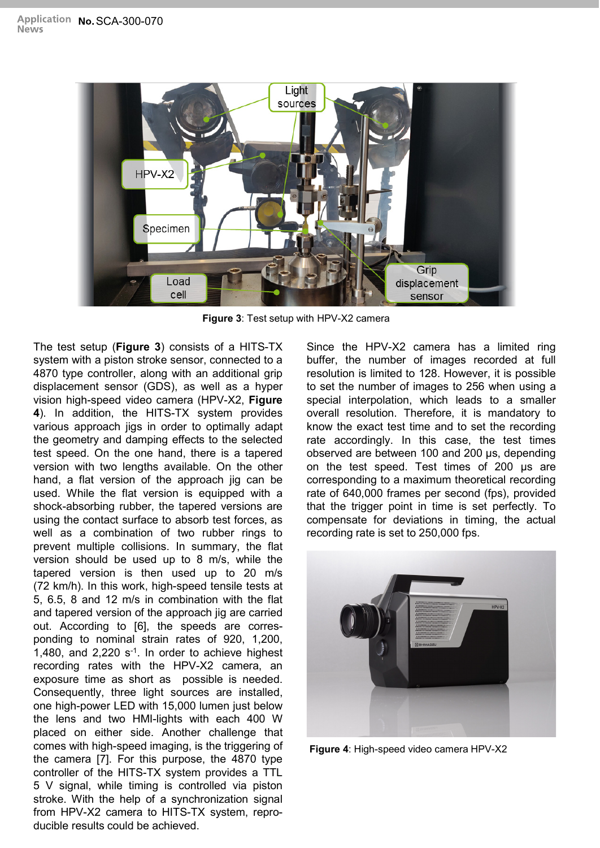

**Figure 3**: Test setup with HPV-X2 camera

The test setup (**Figure 3**) consists of a HITS-TX system with a piston stroke sensor, connected to a 4870 type controller, along with an additional grip displacement sensor (GDS), as well as a hyper vision high-speed video camera (HPV-X2, **Figure 4**). In addition, the HITS-TX system provides various approach jigs in order to optimally adapt the geometry and damping effects to the selected test speed. On the one hand, there is a tapered version with two lengths available. On the other hand, a flat version of the approach jig can be used. While the flat version is equipped with a shock-absorbing rubber, the tapered versions are using the contact surface to absorb test forces, as well as a combination of two rubber rings to prevent multiple collisions. In summary, the flat version should be used up to 8 m/s, while the tapered version is then used up to 20 m/s (72 km/h). In this work, high-speed tensile tests at 5, 6.5, 8 and 12 m/s in combination with the flat and tapered version of the approach jig are carried out. According to [6], the speeds are corresponding to nominal strain rates of 920, 1,200, 1,480, and  $2,220$  s<sup>-1</sup>. In order to achieve highest recording rates with the HPV-X2 camera, an exposure time as short as possible is needed. Consequently, three light sources are installed, one high-power LED with 15,000 lumen just below the lens and two HMI-lights with each 400 W placed on either side. Another challenge that comes with high-speed imaging, is the triggering of the camera [7]. For this purpose, the 4870 type controller of the HITS-TX system provides a TTL 5 V signal, while timing is controlled via piston stroke. With the help of a synchronization signal from HPV-X2 camera to HITS-TX system, reproducible results could be achieved.

Since the HPV-X2 camera has a limited ring buffer, the number of images recorded at full resolution is limited to 128. However, it is possible to set the number of images to 256 when using a special interpolation, which leads to a smaller overall resolution. Therefore, it is mandatory to know the exact test time and to set the recording rate accordingly. In this case, the test times observed are between 100 and 200 μs, depending on the test speed. Test times of 200 μs are corresponding to a maximum theoretical recording rate of 640,000 frames per second (fps), provided that the trigger point in time is set perfectly. To compensate for deviations in timing, the actual recording rate is set to 250,000 fps.



**Figure 4**: High-speed video camera HPV-X2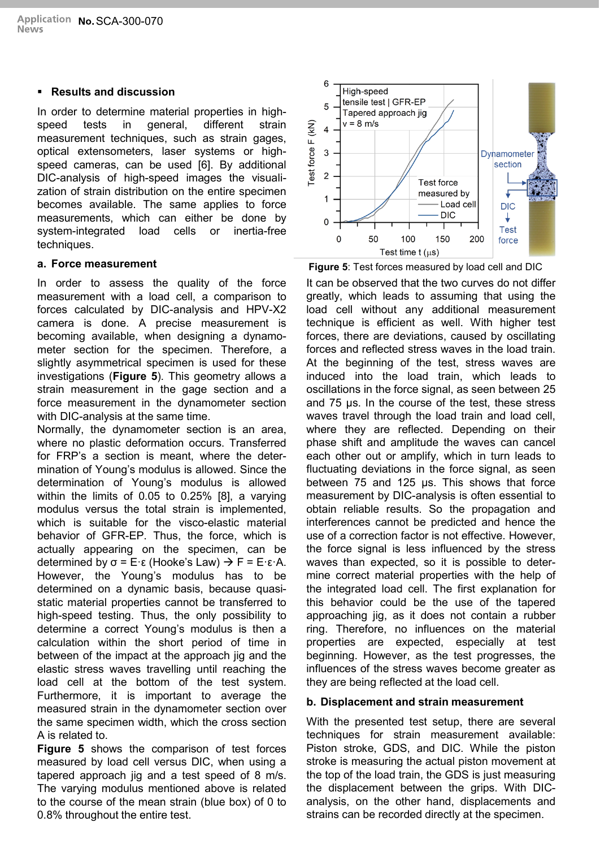# **Results and discussion**

In order to determine material properties in highspeed tests in general, different strain measurement techniques, such as strain gages, optical extensometers, laser systems or highspeed cameras, can be used [6]. By additional DIC-analysis of high-speed images the visualization of strain distribution on the entire specimen becomes available. The same applies to force measurements, which can either be done by system-integrated load cells or inertia-free techniques.

## **a. Force measurement**

In order to assess the quality of the force measurement with a load cell, a comparison to forces calculated by DIC-analysis and HPV-X2 camera is done. A precise measurement is becoming available, when designing a dynamometer section for the specimen. Therefore, a slightly asymmetrical specimen is used for these investigations (**Figure 5**). This geometry allows a strain measurement in the gage section and a force measurement in the dynamometer section with DIC-analysis at the same time.

Normally, the dynamometer section is an area, where no plastic deformation occurs. Transferred for FRP's a section is meant, where the determination of Young's modulus is allowed. Since the determination of Young's modulus is allowed within the limits of 0.05 to 0.25% [8], a varying modulus versus the total strain is implemented, which is suitable for the visco-elastic material behavior of GFR-EP. Thus, the force, which is actually appearing on the specimen, can be determined by  $\sigma = E \cdot \varepsilon$  (Hooke's Law)  $\rightarrow F = E \cdot \varepsilon \cdot A$ . However, the Young's modulus has to be determined on a dynamic basis, because quasistatic material properties cannot be transferred to high-speed testing. Thus, the only possibility to determine a correct Young's modulus is then a calculation within the short period of time in between of the impact at the approach jig and the elastic stress waves travelling until reaching the load cell at the bottom of the test system. Furthermore, it is important to average the measured strain in the dynamometer section over the same specimen width, which the cross section A is related to.

**Figure 5** shows the comparison of test forces measured by load cell versus DIC, when using a tapered approach jig and a test speed of 8 m/s. The varying modulus mentioned above is related to the course of the mean strain (blue box) of 0 to 0.8% throughout the entire test.



**Figure 5**: Test forces measured by load cell and DIC

It can be observed that the two curves do not differ greatly, which leads to assuming that using the load cell without any additional measurement technique is efficient as well. With higher test forces, there are deviations, caused by oscillating forces and reflected stress waves in the load train. At the beginning of the test, stress waves are induced into the load train, which leads to oscillations in the force signal, as seen between 25 and 75 μs. In the course of the test, these stress waves travel through the load train and load cell, where they are reflected. Depending on their phase shift and amplitude the waves can cancel each other out or amplify, which in turn leads to fluctuating deviations in the force signal, as seen between 75 and 125 μs. This shows that force measurement by DIC-analysis is often essential to obtain reliable results. So the propagation and interferences cannot be predicted and hence the use of a correction factor is not effective. However, the force signal is less influenced by the stress waves than expected, so it is possible to determine correct material properties with the help of the integrated load cell. The first explanation for this behavior could be the use of the tapered approaching jig, as it does not contain a rubber ring. Therefore, no influences on the material properties are expected, especially at test beginning. However, as the test progresses, the influences of the stress waves become greater as they are being reflected at the load cell.

# **b. Displacement and strain measurement**

With the presented test setup, there are several techniques for strain measurement available: Piston stroke, GDS, and DIC. While the piston stroke is measuring the actual piston movement at the top of the load train, the GDS is just measuring the displacement between the grips. With DICanalysis, on the other hand, displacements and strains can be recorded directly at the specimen.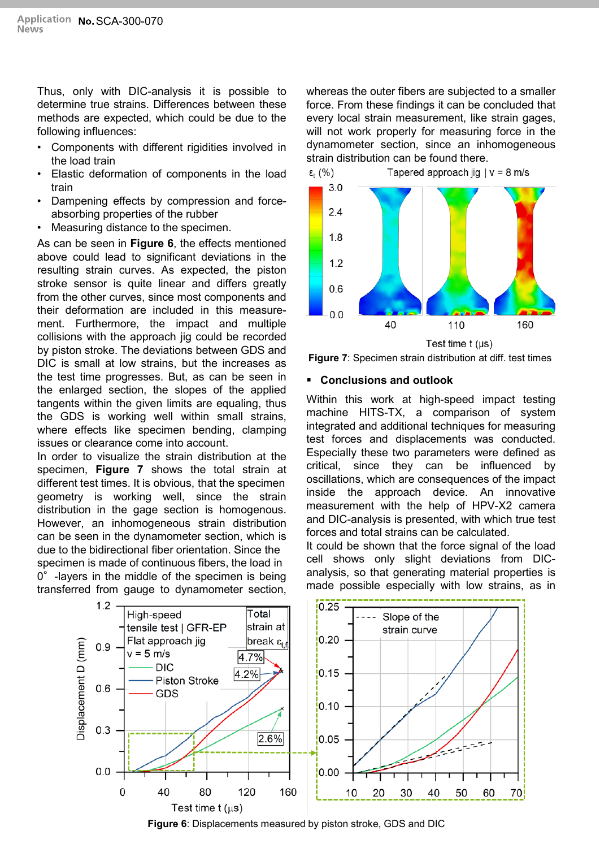Thus, only with DIC-analysis it is possible to determine true strains. Differences between these methods are expected, which could be due to the following influences:

- Components with different rigidities involved in the load train
- Elastic deformation of components in the load train
- Dampening effects by compression and forceabsorbing properties of the rubber
- Measuring distance to the specimen.

As can be seen in **Figure 6**, the effects mentioned above could lead to significant deviations in the resulting strain curves. As expected, the piston stroke sensor is quite linear and differs greatly from the other curves, since most components and their deformation are included in this measurement. Furthermore, the impact and multiple collisions with the approach jig could be recorded by piston stroke. The deviations between GDS and DIC is small at low strains, but the increases as the test time progresses. But, as can be seen in the enlarged section, the slopes of the applied tangents within the given limits are equaling, thus the GDS is working well within small strains, where effects like specimen bending, clamping issues or clearance come into account.

In order to visualize the strain distribution at the specimen, **Figure 7** shows the total strain at different test times. It is obvious, that the specimen geometry is working well, since the strain distribution in the gage section is homogenous. However, an inhomogeneous strain distribution can be seen in the dynamometer section, which is due to the bidirectional fiber orientation. Since the specimen is made of continuous fibers, the load in 0°-layers in the middle of the specimen is being transferred from gauge to dynamometer section,

whereas the outer fibers are subjected to a smaller force. From these findings it can be concluded that every local strain measurement, like strain gages, will not work properly for measuring force in the dynamometer section, since an inhomogeneous strain distribution can be found there.



**Figure 7**: Specimen strain distribution at diff. test times

## **Conclusions and outlook**

Within this work at high-speed impact testing machine HITS-TX, a comparison of system integrated and additional techniques for measuring test forces and displacements was conducted. Especially these two parameters were defined as critical, since they can be influenced by oscillations, which are consequences of the impact inside the approach device. An innovative measurement with the help of HPV-X2 camera and DIC-analysis is presented, with which true test forces and total strains can be calculated.

It could be shown that the force signal of the load cell shows only slight deviations from DICanalysis, so that generating material properties is made possible especially with low strains, as in



**Figure 6**: Displacements measured by piston stroke, GDS and DIC